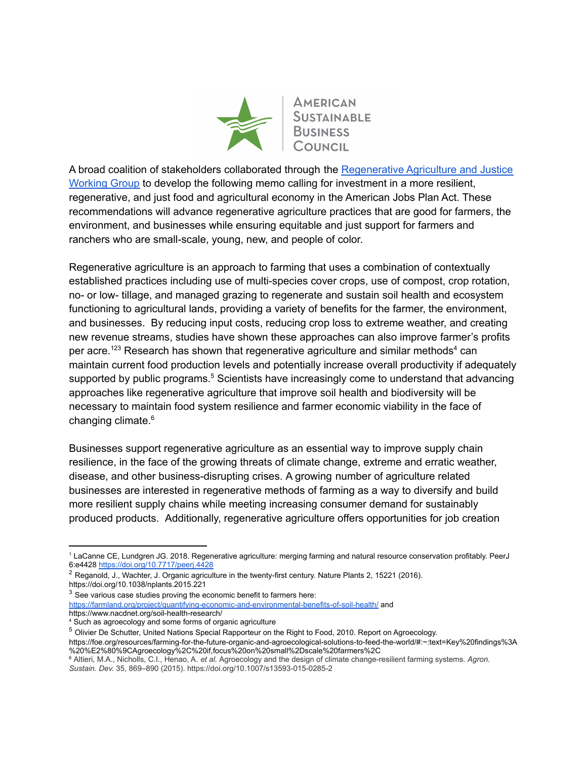

A broad coalition of stakeholders collaborated through the [Regenerative](https://www.asbcouncil.org/post/regenerative-agriculture-justice-working-group) Agriculture and Justice [Working](https://www.asbcouncil.org/post/regenerative-agriculture-justice-working-group) Group to develop the following memo calling for investment in a more resilient, regenerative, and just food and agricultural economy in the American Jobs Plan Act. These recommendations will advance regenerative agriculture practices that are good for farmers, the environment, and businesses while ensuring equitable and just support for farmers and ranchers who are small-scale, young, new, and people of color.

Regenerative agriculture is an approach to farming that uses a combination of contextually established practices including use of multi-species cover crops, use of compost, crop rotation, no- or low- tillage, and managed grazing to regenerate and sustain soil health and ecosystem functioning to agricultural lands, providing a variety of benefits for the farmer, the environment, and businesses. By reducing input costs, reducing crop loss to extreme weather, and creating new revenue streams, studies have shown these approaches can also improve farmer's profits per acre.<sup>123</sup> Research has shown that regenerative agriculture and similar methods<sup>4</sup> can maintain current food production levels and potentially increase overall productivity if adequately supported by public programs.<sup>5</sup> Scientists have increasingly come to understand that advancing approaches like regenerative agriculture that improve soil health and biodiversity will be necessary to maintain food system resilience and farmer economic viability in the face of changing climate. 6

Businesses support regenerative agriculture as an essential way to improve supply chain resilience, in the face of the growing threats of climate change, extreme and erratic weather, disease, and other business-disrupting crises. A growing number of agriculture related businesses are interested in regenerative methods of farming as a way to diversify and build more resilient supply chains while meeting increasing consumer demand for sustainably produced products. Additionally, regenerative agriculture offers opportunities for job creation

 $3$  See various case studies proving the economic benefit to farmers here: <https://farmland.org/project/quantifying-economic-and-environmental-benefits-of-soil-health/> and https://www.nacdnet.org/soil-health-research/

<sup>1</sup> LaCanne CE, Lundgren JG. 2018. Regenerative agriculture: merging farming and natural resource conservation profitably. PeerJ 6:e4428 <https://doi.org/10.7717/peerj.4428>

<sup>&</sup>lt;sup>2</sup> Reganold, J., Wachter, J. Organic agriculture in the twenty-first century. Nature Plants 2, 15221 (2016). https://doi.org/10.1038/nplants.2015.221

<sup>4</sup> Such as agroecology and some forms of organic agriculture

<sup>5</sup> Olivier De Schutter, United Nations Special Rapporteur on the Right to Food, 2010. Report on Agroecology.

https://foe.org/resources/farming-for-the-future-organic-and-agroecological-solutions-to-feed-the-world/#:~:text=Key%20findings%3A %20%E2%80%9CAgroecology%2C%20if,focus%20on%20small%2Dscale%20farmers%2C

<sup>6</sup> Altieri, M.A., Nicholls, C.I., Henao, A. *et al.* Agroecology and the design of climate change-resilient farming systems. *Agron. Sustain. Dev.* 35, 869–890 (2015). https://doi.org/10.1007/s13593-015-0285-2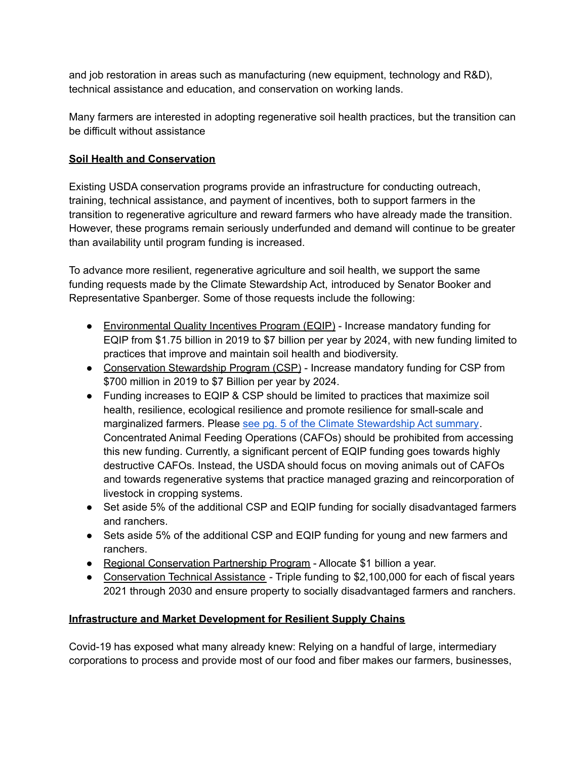and job restoration in areas such as manufacturing (new equipment, technology and R&D), technical assistance and education, and conservation on working lands.

Many farmers are interested in adopting regenerative soil health practices, but the transition can be difficult without assistance

## **Soil Health and Conservation**

Existing USDA conservation programs provide an infrastructure for conducting outreach, training, technical assistance, and payment of incentives, both to support farmers in the transition to regenerative agriculture and reward farmers who have already made the transition. However, these programs remain seriously underfunded and demand will continue to be greater than availability until program funding is increased.

To advance more resilient, regenerative agriculture and soil health, we support the same funding requests made by the Climate Stewardship Act, introduced by Senator Booker and Representative Spanberger. Some of those requests include the following:

- Environmental Quality Incentives Program (EQIP) Increase mandatory funding for EQIP from \$1.75 billion in 2019 to \$7 billion per year by 2024, with new funding limited to practices that improve and maintain soil health and biodiversity.
- Conservation Stewardship Program (CSP) Increase mandatory funding for CSP from \$700 million in 2019 to \$7 Billion per year by 2024.
- Funding increases to EQIP & CSP should be limited to practices that maximize soil health, resilience, ecological resilience and promote resilience for small-scale and marginalized farmers. Please see pg. 5 of the Climate [Stewardship](https://www.booker.senate.gov/imo/media/doc/with_fdrs_new_deal_as_blueprint_sen_booker_and_rep.spanbergerreintroduceclimatechangebillfocusedoninvestinginfarmconservationprogramsreforestationandwetlandsrestoration3.pdf) Act summary. Concentrated Animal Feeding Operations (CAFOs) should be prohibited from accessing this new funding. Currently, a significant percent of EQIP funding goes towards highly destructive CAFOs. Instead, the USDA should focus on moving animals out of CAFOs and towards regenerative systems that practice managed grazing and reincorporation of livestock in cropping systems.
- Set aside 5% of the additional CSP and EQIP funding for socially disadvantaged farmers and ranchers.
- Sets aside 5% of the additional CSP and EQIP funding for young and new farmers and ranchers.
- Regional Conservation Partnership Program Allocate \$1 billion a year.
- Conservation Technical Assistance Triple funding to \$2,100,000 for each of fiscal years 2021 through 2030 and ensure property to socially disadvantaged farmers and ranchers.

## **Infrastructure and Market Development for Resilient Supply Chains**

Covid-19 has exposed what many already knew: Relying on a handful of large, intermediary corporations to process and provide most of our food and fiber makes our farmers, businesses,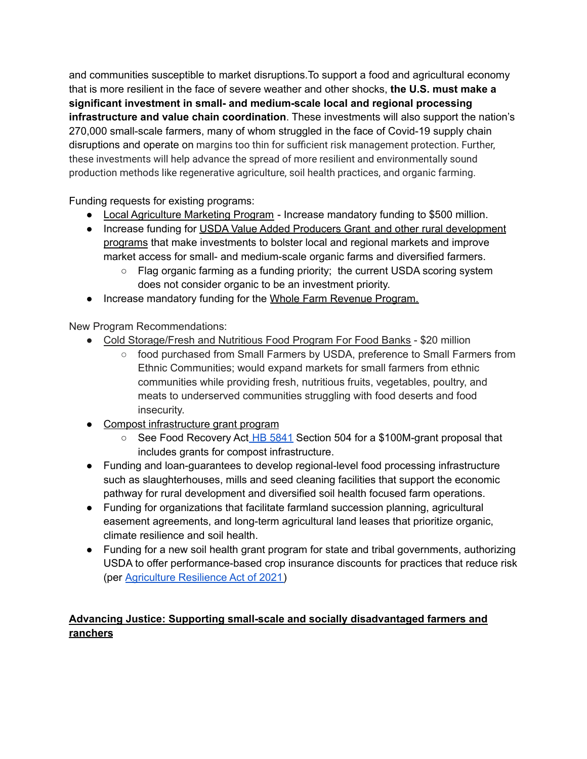and communities susceptible to market disruptions.To support a food and agricultural economy that is more resilient in the face of severe weather and other shocks, **the U.S. must make a significant investment in small- and medium-scale local and regional processing infrastructure and value chain coordination**. These investments will also support the nation's 270,000 small-scale farmers, many of whom struggled in the face of Covid-19 supply chain disruptions and operate on margins too thin for sufficient risk management protection. Further, these investments will help advance the spread of more resilient and environmentally sound production methods like regenerative agriculture, soil health practices, and organic farming.

Funding requests for existing programs:

- Local Agriculture Marketing Program Increase mandatory funding to \$500 million.
- Increase funding for USDA Value Added Producers Grant and other rural development programs that make investments to bolster local and regional markets and improve market access for small- and medium-scale organic farms and diversified farmers.
	- Flag organic farming as a funding priority; the current USDA scoring system does not consider organic to be an investment priority.
- Increase mandatory funding for the Whole Farm Revenue Program.

New Program Recommendations:

- Cold Storage/Fresh and Nutritious Food Program For Food Banks \$20 million
	- food purchased from Small Farmers by USDA, preference to Small Farmers from Ethnic Communities; would expand markets for small farmers from ethnic communities while providing fresh, nutritious fruits, vegetables, poultry, and meats to underserved communities struggling with food deserts and food insecurity.
- Compost infrastructure grant program
	- See Food Recovery Act HB [5841](https://www.congress.gov/bill/116th-congress/house-bill/5841/text) Section 504 for a \$100M-grant proposal that includes grants for compost infrastructure.
- Funding and loan-guarantees to develop regional-level food processing infrastructure such as slaughterhouses, mills and seed cleaning facilities that support the economic pathway for rural development and diversified soil health focused farm operations.
- Funding for organizations that facilitate farmland succession planning, agricultural easement agreements, and long-term agricultural land leases that prioritize organic, climate resilience and soil health.
- Funding for a new soil health grant program for state and tribal governments, authorizing USDA to offer performance-based crop insurance discounts for practices that reduce risk (per [Agriculture](https://sustainableagriculture.net/wp-content/uploads/2021/04/ARA-Section-by-Section-2021_FINAL.pdf) Resilience Act of 2021)

## **Advancing Justice: Supporting small-scale and socially disadvantaged farmers and ranchers**